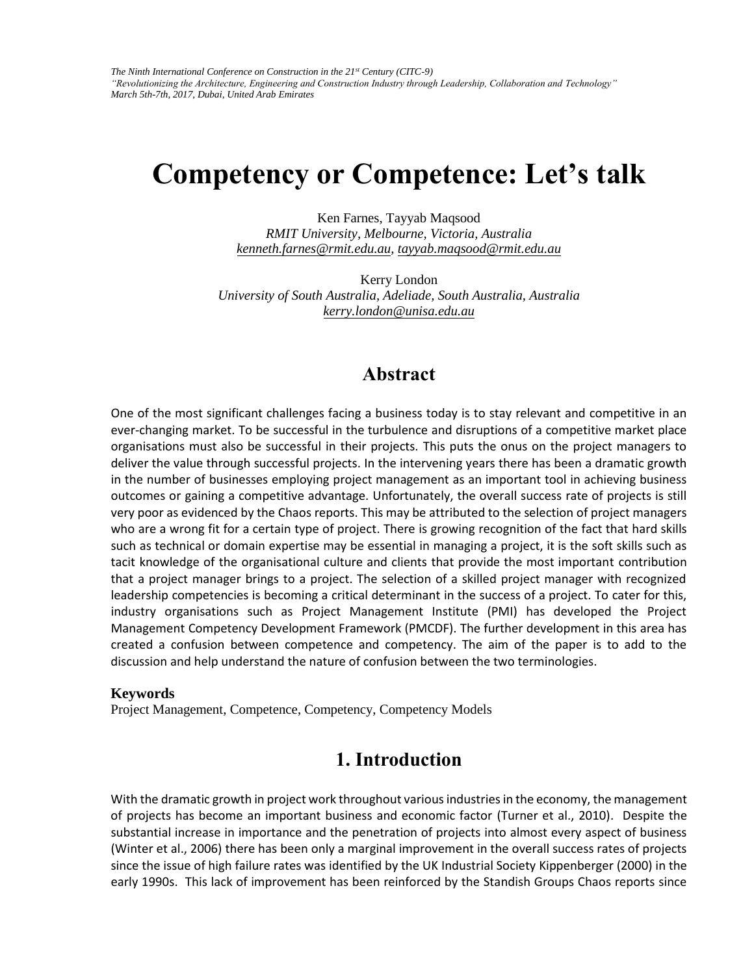# **Competency or Competence: Let's talk**

Ken Farnes, Tayyab Maqsood

*[RMIT University, Melb](mailto:kenneth.farnes@rmit.edu.au)[ourne, Victoria, Australia](mailto:tayyab.maqsood@rmit.edu.au)  kenneth.farnes@rmit.edu.au, tayyab.maqsood@rmit.edu.au*

Kerry London *University of Sout[h Australia, Adeliade, South A](mailto:kerry.london@unisa.edu.au)ustralia, Australia kerry.london@unisa.edu.au*

### **Abstract**

One of the most significant challenges facing a business today is to stay relevant and competitive in an ever-changing market. To be successful in the turbulence and disruptions of a competitive market place organisations must also be successful in their projects. This puts the onus on the project managers to deliver the value through successful projects. In the intervening years there has been a dramatic growth in the number of businesses employing project management as an important tool in achieving business outcomes or gaining a competitive advantage. Unfortunately, the overall success rate of projects is still very poor as evidenced by the Chaos reports. This may be attributed to the selection of project managers who are a wrong fit for a certain type of project. There is growing recognition of the fact that hard skills such as technical or domain expertise may be essential in managing a project, it is the soft skills such as tacit knowledge of the organisational culture and clients that provide the most important contribution that a project manager brings to a project. The selection of a skilled project manager with recognized leadership competencies is becoming a critical determinant in the success of a project. To cater for this, industry organisations such as Project Management Institute (PMI) has developed the Project Management Competency Development Framework (PMCDF). The further development in this area has created a confusion between competence and competency. The aim of the paper is to add to the discussion and help understand the nature of confusion between the two terminologies.

#### **Keywords**

Project Management, Competence, Competency, Competency Models

### **1. Introduction**

With the dramatic growth in project work throughout various industries in the economy, the management of projects has become an important business and economic factor (Turner et al., 2010). Despite the substantial increase in importance and the penetration of projects into almost every aspect of business (Winter et al., 2006) there has been only a marginal improvement in the overall success rates of projects since the issue of high failure rates was identified by the UK Industrial Society Kippenberger (2000) in the early 1990s. This lack of improvement has been reinforced by the Standish Groups Chaos reports since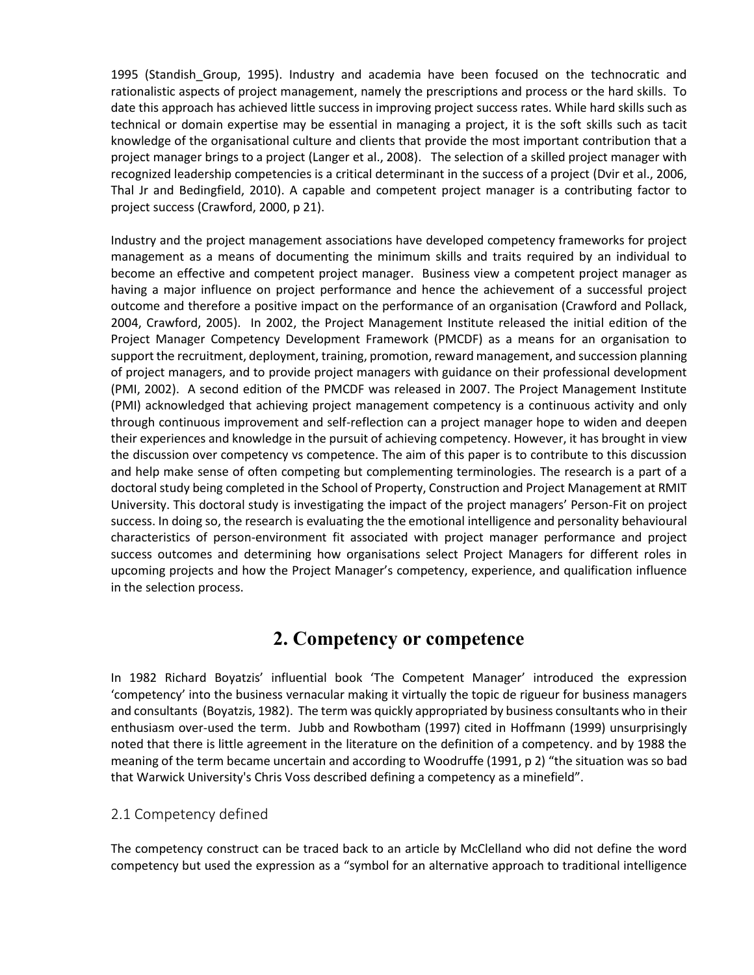1995 (Standish\_Group, 1995). Industry and academia have been focused on the technocratic and rationalistic aspects of project management, namely the prescriptions and process or the hard skills. To date this approach has achieved little success in improving project success rates. While hard skills such as technical or domain expertise may be essential in managing a project, it is the soft skills such as tacit knowledge of the organisational culture and clients that provide the most important contribution that a project manager brings to a project (Langer et al., 2008). The selection of a skilled project manager with recognized leadership competencies is a critical determinant in the success of a project (Dvir et al., 2006, Thal Jr and Bedingfield, 2010). A capable and competent project manager is a contributing factor to project success (Crawford, 2000, p 21).

Industry and the project management associations have developed competency frameworks for project management as a means of documenting the minimum skills and traits required by an individual to become an effective and competent project manager. Business view a competent project manager as having a major influence on project performance and hence the achievement of a successful project outcome and therefore a positive impact on the performance of an organisation (Crawford and Pollack, 2004, Crawford, 2005). In 2002, the Project Management Institute released the initial edition of the Project Manager Competency Development Framework (PMCDF) as a means for an organisation to support the recruitment, deployment, training, promotion, reward management, and succession planning of project managers, and to provide project managers with guidance on their professional development (PMI, 2002). A second edition of the PMCDF was released in 2007. The Project Management Institute (PMI) acknowledged that achieving project management competency is a continuous activity and only through continuous improvement and self-reflection can a project manager hope to widen and deepen their experiences and knowledge in the pursuit of achieving competency. However, it has brought in view the discussion over competency vs competence. The aim of this paper is to contribute to this discussion and help make sense of often competing but complementing terminologies. The research is a part of a doctoral study being completed in the School of Property, Construction and Project Management at RMIT University. This doctoral study is investigating the impact of the project managers' Person-Fit on project success. In doing so, the research is evaluating the the emotional intelligence and personality behavioural characteristics of person-environment fit associated with project manager performance and project success outcomes and determining how organisations select Project Managers for different roles in upcoming projects and how the Project Manager's competency, experience, and qualification influence in the selection process.

### **2. Competency or competence**

In 1982 Richard Boyatzis' influential book 'The Competent Manager' introduced the expression 'competency' into the business vernacular making it virtually the topic de rigueur for business managers and consultants (Boyatzis, 1982). The term was quickly appropriated by business consultants who in their enthusiasm over-used the term. Jubb and Rowbotham (1997) cited in Hoffmann (1999) unsurprisingly noted that there is little agreement in the literature on the definition of a competency. and by 1988 the meaning of the term became uncertain and according to Woodruffe (1991, p 2) "the situation was so bad that Warwick University's Chris Voss described defining a competency as a minefield".

### 2.1 Competency defined

The competency construct can be traced back to an article by McClelland who did not define the word competency but used the expression as a "symbol for an alternative approach to traditional intelligence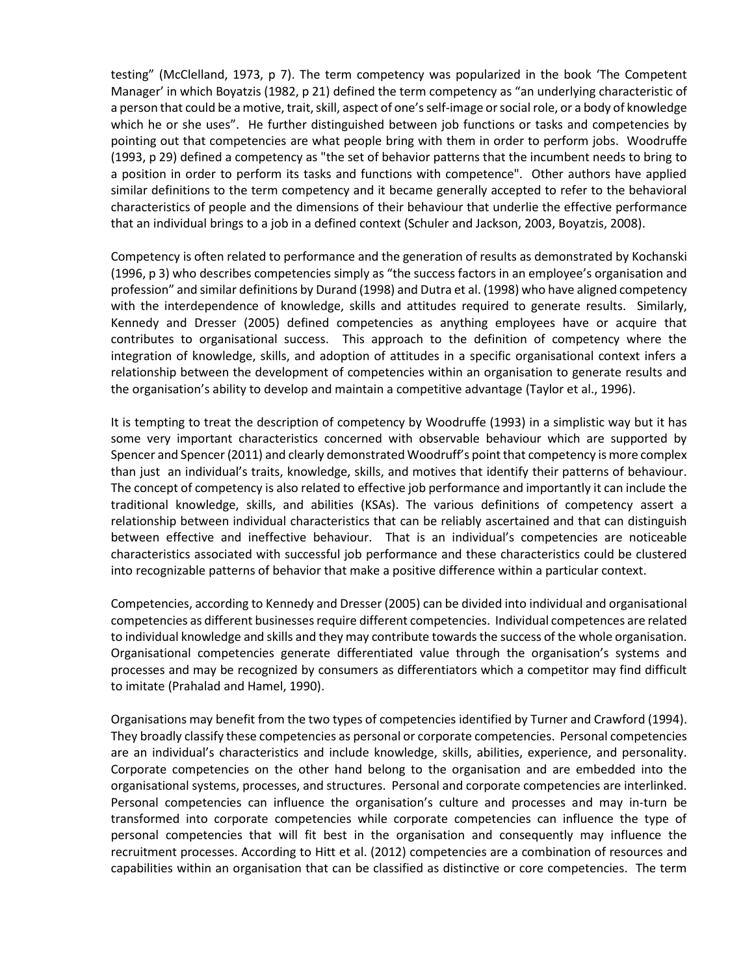testing" (McClelland, 1973, p 7). The term competency was popularized in the book 'The Competent Manager' in which Boyatzis (1982, p 21) defined the term competency as "an underlying characteristic of a person that could be a motive, trait, skill, aspect of one's self-image or social role, or a body of knowledge which he or she uses". He further distinguished between job functions or tasks and competencies by pointing out that competencies are what people bring with them in order to perform jobs. Woodruffe (1993, p 29) defined a competency as "the set of behavior patterns that the incumbent needs to bring to a position in order to perform its tasks and functions with competence". Other authors have applied similar definitions to the term competency and it became generally accepted to refer to the behavioral characteristics of people and the dimensions of their behaviour that underlie the effective performance that an individual brings to a job in a defined context (Schuler and Jackson, 2003, Boyatzis, 2008).

Competency is often related to performance and the generation of results as demonstrated by Kochanski (1996, p 3) who describes competencies simply as "the success factors in an employee's organisation and profession" and similar definitions by Durand (1998) and Dutra et al. (1998) who have aligned competency with the interdependence of knowledge, skills and attitudes required to generate results. Similarly, Kennedy and Dresser (2005) defined competencies as anything employees have or acquire that contributes to organisational success. This approach to the definition of competency where the integration of knowledge, skills, and adoption of attitudes in a specific organisational context infers a relationship between the development of competencies within an organisation to generate results and the organisation's ability to develop and maintain a competitive advantage (Taylor et al., 1996).

It is tempting to treat the description of competency by Woodruffe (1993) in a simplistic way but it has some very important characteristics concerned with observable behaviour which are supported by Spencer and Spencer (2011) and clearly demonstrated Woodruff's point that competency is more complex than just an individual's traits, knowledge, skills, and motives that identify their patterns of behaviour. The concept of competency is also related to effective job performance and importantly it can include the traditional knowledge, skills, and abilities (KSAs). The various definitions of competency assert a relationship between individual characteristics that can be reliably ascertained and that can distinguish between effective and ineffective behaviour. That is an individual's competencies are noticeable characteristics associated with successful job performance and these characteristics could be clustered into recognizable patterns of behavior that make a positive difference within a particular context.

Competencies, according to Kennedy and Dresser (2005) can be divided into individual and organisational competencies as different businesses require different competencies. Individual competences are related to individual knowledge and skills and they may contribute towards the success of the whole organisation. Organisational competencies generate differentiated value through the organisation's systems and processes and may be recognized by consumers as differentiators which a competitor may find difficult to imitate (Prahalad and Hamel, 1990).

Organisations may benefit from the two types of competencies identified by Turner and Crawford (1994). They broadly classify these competencies as personal or corporate competencies. Personal competencies are an individual's characteristics and include knowledge, skills, abilities, experience, and personality. Corporate competencies on the other hand belong to the organisation and are embedded into the organisational systems, processes, and structures. Personal and corporate competencies are interlinked. Personal competencies can influence the organisation's culture and processes and may in-turn be transformed into corporate competencies while corporate competencies can influence the type of personal competencies that will fit best in the organisation and consequently may influence the recruitment processes. According to Hitt et al. (2012) competencies are a combination of resources and capabilities within an organisation that can be classified as distinctive or core competencies. The term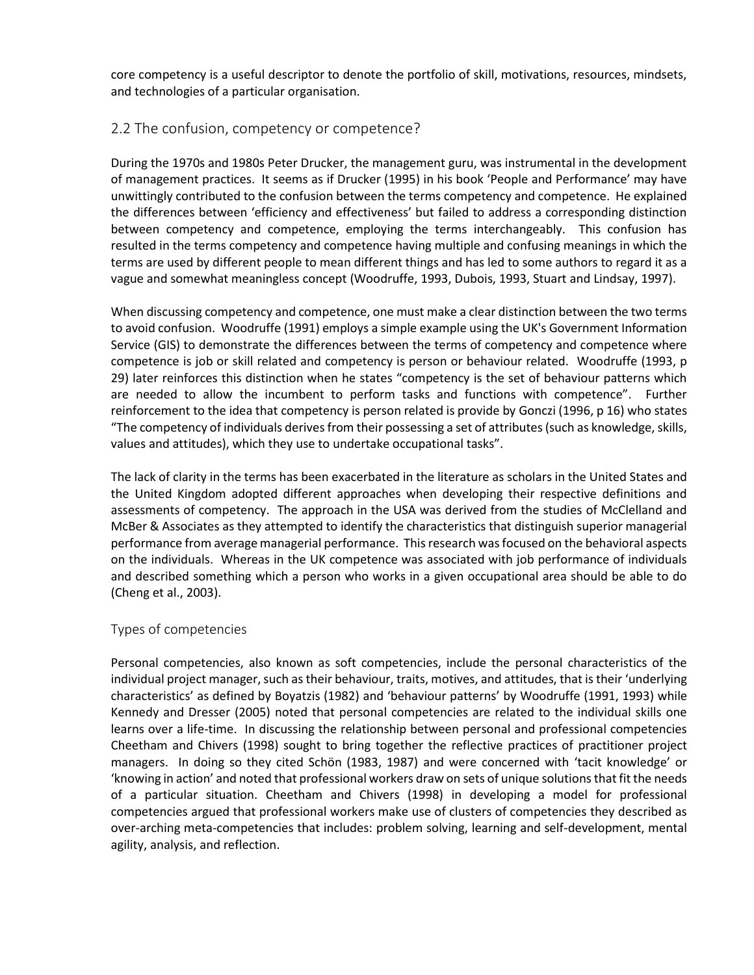core competency is a useful descriptor to denote the portfolio of skill, motivations, resources, mindsets, and technologies of a particular organisation.

### 2.2 The confusion, competency or competence?

During the 1970s and 1980s Peter Drucker, the management guru, was instrumental in the development of management practices. It seems as if Drucker (1995) in his book 'People and Performance' may have unwittingly contributed to the confusion between the terms competency and competence. He explained the differences between 'efficiency and effectiveness' but failed to address a corresponding distinction between competency and competence, employing the terms interchangeably. This confusion has resulted in the terms competency and competence having multiple and confusing meanings in which the terms are used by different people to mean different things and has led to some authors to regard it as a vague and somewhat meaningless concept (Woodruffe, 1993, Dubois, 1993, Stuart and Lindsay, 1997).

When discussing competency and competence, one must make a clear distinction between the two terms to avoid confusion. Woodruffe (1991) employs a simple example using the UK's Government Information Service (GIS) to demonstrate the differences between the terms of competency and competence where competence is job or skill related and competency is person or behaviour related. Woodruffe (1993, p 29) later reinforces this distinction when he states "competency is the set of behaviour patterns which are needed to allow the incumbent to perform tasks and functions with competence". Further reinforcement to the idea that competency is person related is provide by Gonczi (1996, p 16) who states "The competency of individuals derives from their possessing a set of attributes (such as knowledge, skills, values and attitudes), which they use to undertake occupational tasks".

The lack of clarity in the terms has been exacerbated in the literature as scholars in the United States and the United Kingdom adopted different approaches when developing their respective definitions and assessments of competency. The approach in the USA was derived from the studies of McClelland and McBer & Associates as they attempted to identify the characteristics that distinguish superior managerial performance from average managerial performance. This research was focused on the behavioral aspects on the individuals. Whereas in the UK competence was associated with job performance of individuals and described something which a person who works in a given occupational area should be able to do (Cheng et al., 2003).

#### Types of competencies

Personal competencies, also known as soft competencies, include the personal characteristics of the individual project manager, such as their behaviour, traits, motives, and attitudes, that is their 'underlying characteristics' as defined by Boyatzis (1982) and 'behaviour patterns' by Woodruffe (1991, 1993) while Kennedy and Dresser (2005) noted that personal competencies are related to the individual skills one learns over a life-time. In discussing the relationship between personal and professional competencies Cheetham and Chivers (1998) sought to bring together the reflective practices of practitioner project managers. In doing so they cited Schön (1983, 1987) and were concerned with 'tacit knowledge' or 'knowing in action' and noted that professional workers draw on sets of unique solutions that fit the needs of a particular situation. Cheetham and Chivers (1998) in developing a model for professional competencies argued that professional workers make use of clusters of competencies they described as over-arching meta-competencies that includes: problem solving, learning and self-development, mental agility, analysis, and reflection.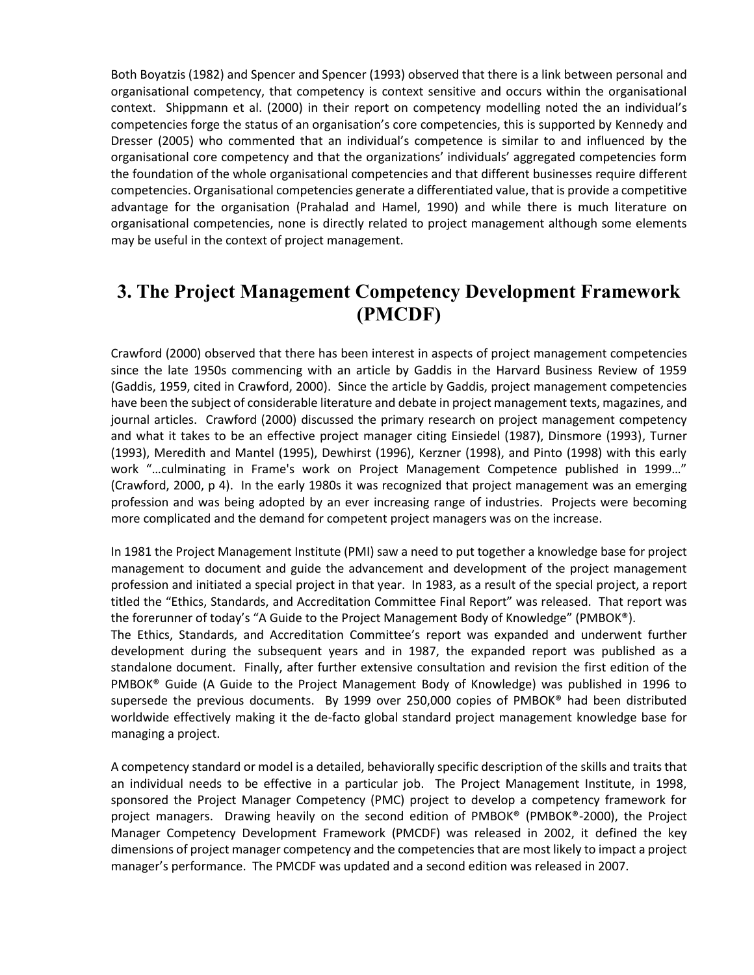Both Boyatzis (1982) and Spencer and Spencer (1993) observed that there is a link between personal and organisational competency, that competency is context sensitive and occurs within the organisational context. Shippmann et al. (2000) in their report on competency modelling noted the an individual's competencies forge the status of an organisation's core competencies, this is supported by Kennedy and Dresser (2005) who commented that an individual's competence is similar to and influenced by the organisational core competency and that the organizations' individuals' aggregated competencies form the foundation of the whole organisational competencies and that different businesses require different competencies. Organisational competencies generate a differentiated value, that is provide a competitive advantage for the organisation (Prahalad and Hamel, 1990) and while there is much literature on organisational competencies, none is directly related to project management although some elements may be useful in the context of project management.

### **3. The Project Management Competency Development Framework (PMCDF)**

Crawford (2000) observed that there has been interest in aspects of project management competencies since the late 1950s commencing with an article by Gaddis in the Harvard Business Review of 1959 (Gaddis, 1959, cited in Crawford, 2000). Since the article by Gaddis, project management competencies have been the subject of considerable literature and debate in project management texts, magazines, and journal articles. Crawford (2000) discussed the primary research on project management competency and what it takes to be an effective project manager citing Einsiedel (1987), Dinsmore (1993), Turner (1993), Meredith and Mantel (1995), Dewhirst (1996), Kerzner (1998), and Pinto (1998) with this early work "…culminating in Frame's work on Project Management Competence published in 1999…" (Crawford, 2000, p 4). In the early 1980s it was recognized that project management was an emerging profession and was being adopted by an ever increasing range of industries. Projects were becoming more complicated and the demand for competent project managers was on the increase.

In 1981 the Project Management Institute (PMI) saw a need to put together a knowledge base for project management to document and guide the advancement and development of the project management profession and initiated a special project in that year. In 1983, as a result of the special project, a report titled the "Ethics, Standards, and Accreditation Committee Final Report" was released. That report was the forerunner of today's "A Guide to the Project Management Body of Knowledge" (PMBOK®).

The Ethics, Standards, and Accreditation Committee's report was expanded and underwent further development during the subsequent years and in 1987, the expanded report was published as a standalone document. Finally, after further extensive consultation and revision the first edition of the PMBOK® Guide (A Guide to the Project Management Body of Knowledge) was published in 1996 to supersede the previous documents. By 1999 over 250,000 copies of PMBOK® had been distributed worldwide effectively making it the de-facto global standard project management knowledge base for managing a project.

A competency standard or model is a detailed, behaviorally specific description of the skills and traits that an individual needs to be effective in a particular job. The Project Management Institute, in 1998, sponsored the Project Manager Competency (PMC) project to develop a competency framework for project managers. Drawing heavily on the second edition of PMBOK® (PMBOK®-2000), the Project Manager Competency Development Framework (PMCDF) was released in 2002, it defined the key dimensions of project manager competency and the competencies that are most likely to impact a project manager's performance. The PMCDF was updated and a second edition was released in 2007.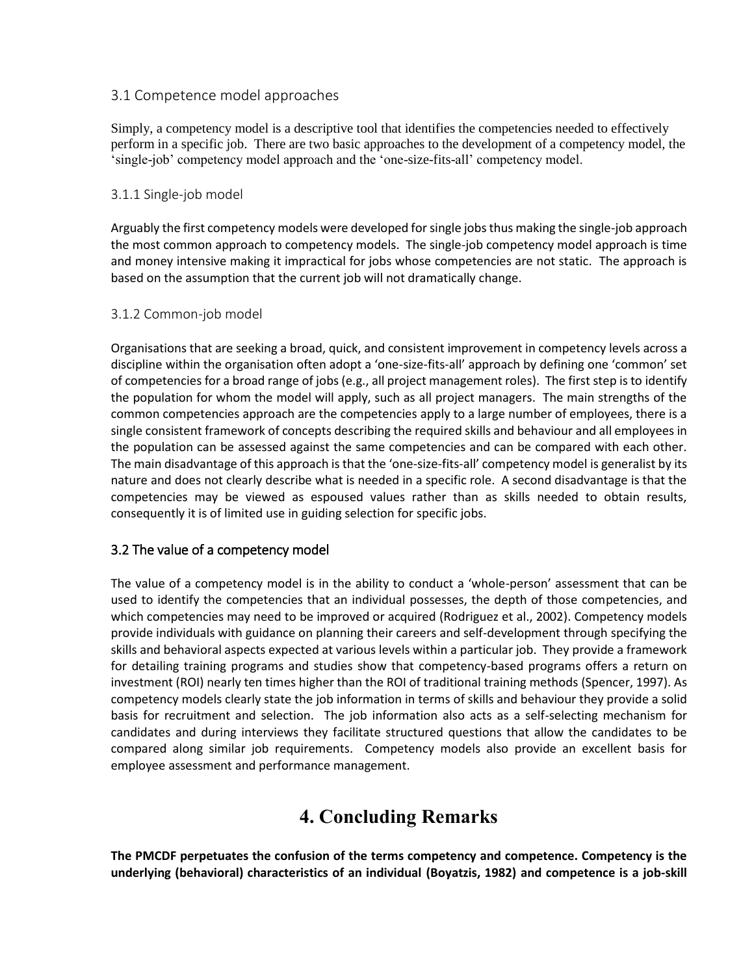### 3.1 Competence model approaches

Simply, a competency model is a descriptive tool that identifies the competencies needed to effectively perform in a specific job. There are two basic approaches to the development of a competency model, the 'single-job' competency model approach and the 'one-size-fits-all' competency model.

#### 3.1.1 Single-job model

Arguably the first competency models were developed for single jobs thus making the single-job approach the most common approach to competency models. The single-job competency model approach is time and money intensive making it impractical for jobs whose competencies are not static. The approach is based on the assumption that the current job will not dramatically change.

#### 3.1.2 Common-job model

Organisations that are seeking a broad, quick, and consistent improvement in competency levels across a discipline within the organisation often adopt a 'one-size-fits-all' approach by defining one 'common' set of competencies for a broad range of jobs (e.g., all project management roles). The first step is to identify the population for whom the model will apply, such as all project managers. The main strengths of the common competencies approach are the competencies apply to a large number of employees, there is a single consistent framework of concepts describing the required skills and behaviour and all employees in the population can be assessed against the same competencies and can be compared with each other. The main disadvantage of this approach is that the 'one-size-fits-all' competency model is generalist by its nature and does not clearly describe what is needed in a specific role. A second disadvantage is that the competencies may be viewed as espoused values rather than as skills needed to obtain results, consequently it is of limited use in guiding selection for specific jobs.

### 3.2 The value of a competency model

The value of a competency model is in the ability to conduct a 'whole-person' assessment that can be used to identify the competencies that an individual possesses, the depth of those competencies, and which competencies may need to be improved or acquired (Rodriguez et al., 2002). Competency models provide individuals with guidance on planning their careers and self-development through specifying the skills and behavioral aspects expected at various levels within a particular job. They provide a framework for detailing training programs and studies show that competency-based programs offers a return on investment (ROI) nearly ten times higher than the ROI of traditional training methods (Spencer, 1997). As competency models clearly state the job information in terms of skills and behaviour they provide a solid basis for recruitment and selection. The job information also acts as a self-selecting mechanism for candidates and during interviews they facilitate structured questions that allow the candidates to be compared along similar job requirements. Competency models also provide an excellent basis for employee assessment and performance management.

## **4. Concluding Remarks**

**The PMCDF perpetuates the confusion of the terms competency and competence. Competency is the underlying (behavioral) characteristics of an individual (Boyatzis, 1982) and competence is a job-skill**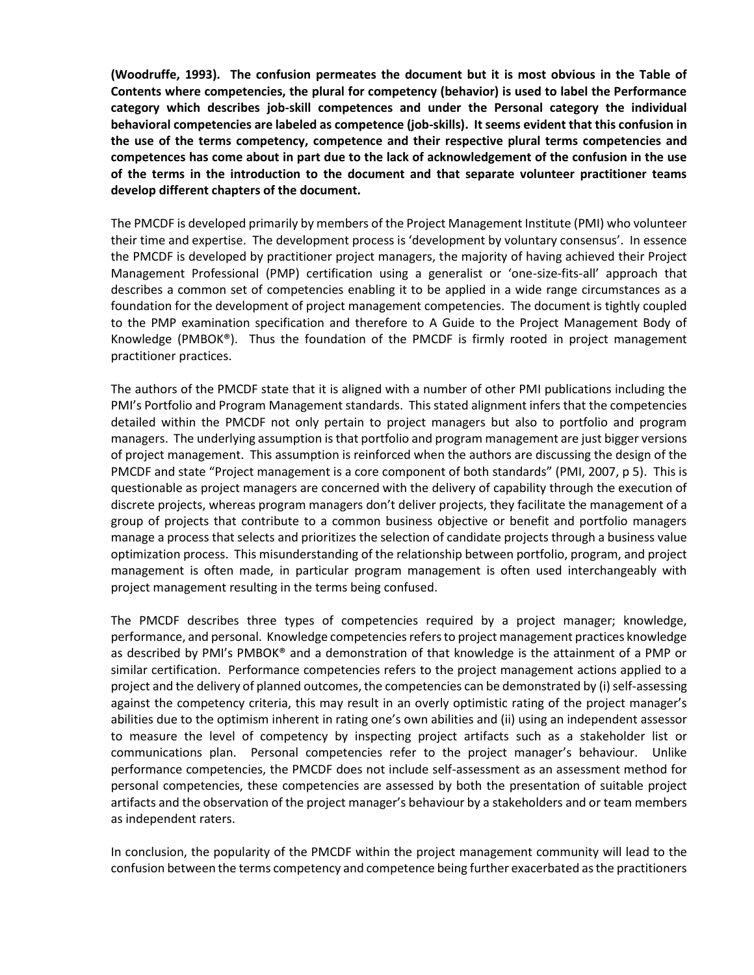**(Woodruffe, 1993). The confusion permeates the document but it is most obvious in the Table of Contents where competencies, the plural for competency (behavior) is used to label the Performance category which describes job-skill competences and under the Personal category the individual behavioral competencies are labeled as competence (job-skills). It seems evident that this confusion in the use of the terms competency, competence and their respective plural terms competencies and competences has come about in part due to the lack of acknowledgement of the confusion in the use of the terms in the introduction to the document and that separate volunteer practitioner teams develop different chapters of the document.** 

The PMCDF is developed primarily by members of the Project Management Institute (PMI) who volunteer their time and expertise. The development process is 'development by voluntary consensus'. In essence the PMCDF is developed by practitioner project managers, the majority of having achieved their Project Management Professional (PMP) certification using a generalist or 'one-size-fits-all' approach that describes a common set of competencies enabling it to be applied in a wide range circumstances as a foundation for the development of project management competencies. The document is tightly coupled to the PMP examination specification and therefore to A Guide to the Project Management Body of Knowledge (PMBOK®). Thus the foundation of the PMCDF is firmly rooted in project management practitioner practices.

The authors of the PMCDF state that it is aligned with a number of other PMI publications including the PMI's Portfolio and Program Management standards. This stated alignment infers that the competencies detailed within the PMCDF not only pertain to project managers but also to portfolio and program managers. The underlying assumption is that portfolio and program management are just bigger versions of project management. This assumption is reinforced when the authors are discussing the design of the PMCDF and state "Project management is a core component of both standards" (PMI, 2007, p 5). This is questionable as project managers are concerned with the delivery of capability through the execution of discrete projects, whereas program managers don't deliver projects, they facilitate the management of a group of projects that contribute to a common business objective or benefit and portfolio managers manage a process that selects and prioritizes the selection of candidate projects through a business value optimization process. This misunderstanding of the relationship between portfolio, program, and project management is often made, in particular program management is often used interchangeably with project management resulting in the terms being confused.

The PMCDF describes three types of competencies required by a project manager; knowledge, performance, and personal. Knowledge competencies refers to project management practices knowledge as described by PMI's PMBOK® and a demonstration of that knowledge is the attainment of a PMP or similar certification. Performance competencies refers to the project management actions applied to a project and the delivery of planned outcomes, the competencies can be demonstrated by (i) self-assessing against the competency criteria, this may result in an overly optimistic rating of the project manager's abilities due to the optimism inherent in rating one's own abilities and (ii) using an independent assessor to measure the level of competency by inspecting project artifacts such as a stakeholder list or communications plan. Personal competencies refer to the project manager's behaviour. Unlike performance competencies, the PMCDF does not include self-assessment as an assessment method for personal competencies, these competencies are assessed by both the presentation of suitable project artifacts and the observation of the project manager's behaviour by a stakeholders and or team members as independent raters.

In conclusion, the popularity of the PMCDF within the project management community will lead to the confusion between the terms competency and competence being further exacerbated as the practitioners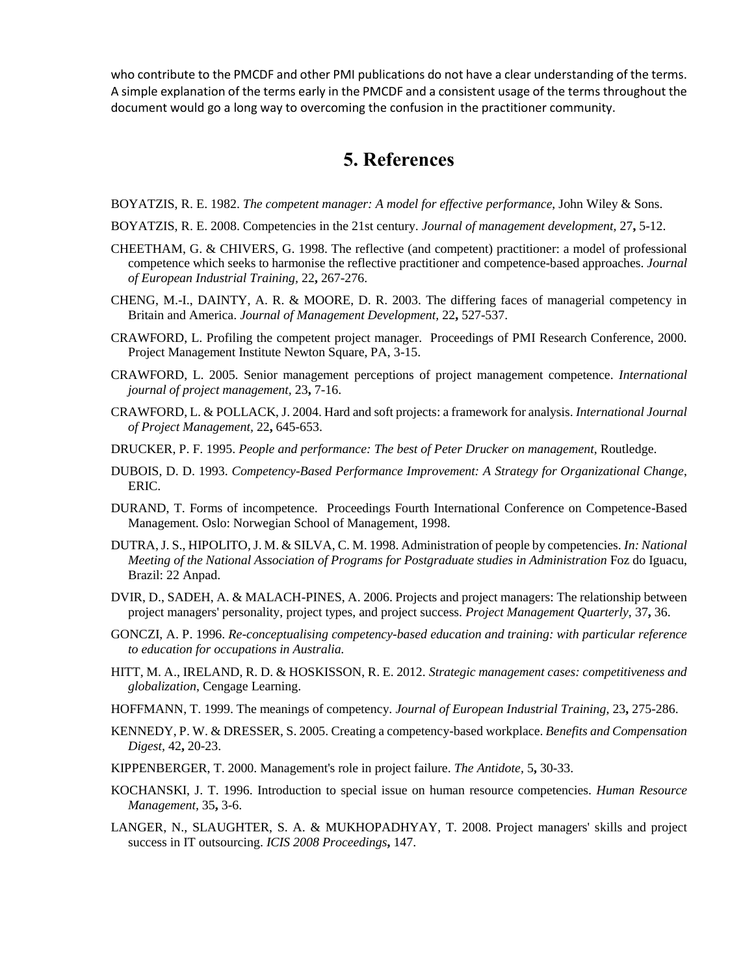who contribute to the PMCDF and other PMI publications do not have a clear understanding of the terms. A simple explanation of the terms early in the PMCDF and a consistent usage of the terms throughout the document would go a long way to overcoming the confusion in the practitioner community.

### **5. References**

BOYATZIS, R. E. 1982. *The competent manager: A model for effective performance*, John Wiley & Sons.

- BOYATZIS, R. E. 2008. Competencies in the 21st century. *Journal of management development,* 27**,** 5-12.
- CHEETHAM, G. & CHIVERS, G. 1998. The reflective (and competent) practitioner: a model of professional competence which seeks to harmonise the reflective practitioner and competence-based approaches. *Journal of European Industrial Training,* 22**,** 267-276.
- CHENG, M.-I., DAINTY, A. R. & MOORE, D. R. 2003. The differing faces of managerial competency in Britain and America. *Journal of Management Development,* 22**,** 527-537.
- CRAWFORD, L. Profiling the competent project manager. Proceedings of PMI Research Conference, 2000. Project Management Institute Newton Square, PA, 3-15.
- CRAWFORD, L. 2005. Senior management perceptions of project management competence. *International journal of project management,* 23**,** 7-16.
- CRAWFORD, L. & POLLACK, J. 2004. Hard and soft projects: a framework for analysis. *International Journal of Project Management,* 22**,** 645-653.
- DRUCKER, P. F. 1995. *People and performance: The best of Peter Drucker on management*, Routledge.
- DUBOIS, D. D. 1993. *Competency-Based Performance Improvement: A Strategy for Organizational Change*, ERIC.
- DURAND, T. Forms of incompetence. Proceedings Fourth International Conference on Competence-Based Management. Oslo: Norwegian School of Management, 1998.
- DUTRA, J. S., HIPOLITO, J. M. & SILVA, C. M. 1998. Administration of people by competencies. *In: National Meeting of the National Association of Programs for Postgraduate studies in Administration* Foz do Iguacu, Brazil: 22 Anpad.
- DVIR, D., SADEH, A. & MALACH-PINES, A. 2006. Projects and project managers: The relationship between project managers' personality, project types, and project success. *Project Management Quarterly,* 37**,** 36.
- GONCZI, A. P. 1996. *Re-conceptualising competency-based education and training: with particular reference to education for occupations in Australia.*
- HITT, M. A., IRELAND, R. D. & HOSKISSON, R. E. 2012. *Strategic management cases: competitiveness and globalization*, Cengage Learning.
- HOFFMANN, T. 1999. The meanings of competency. *Journal of European Industrial Training,* 23**,** 275-286.
- KENNEDY, P. W. & DRESSER, S. 2005. Creating a competency-based workplace. *Benefits and Compensation Digest,* 42**,** 20-23.
- KIPPENBERGER, T. 2000. Management's role in project failure. *The Antidote,* 5**,** 30-33.
- KOCHANSKI, J. T. 1996. Introduction to special issue on human resource competencies. *Human Resource Management,* 35**,** 3-6.
- LANGER, N., SLAUGHTER, S. A. & MUKHOPADHYAY, T. 2008. Project managers' skills and project success in IT outsourcing. *ICIS 2008 Proceedings***,** 147.